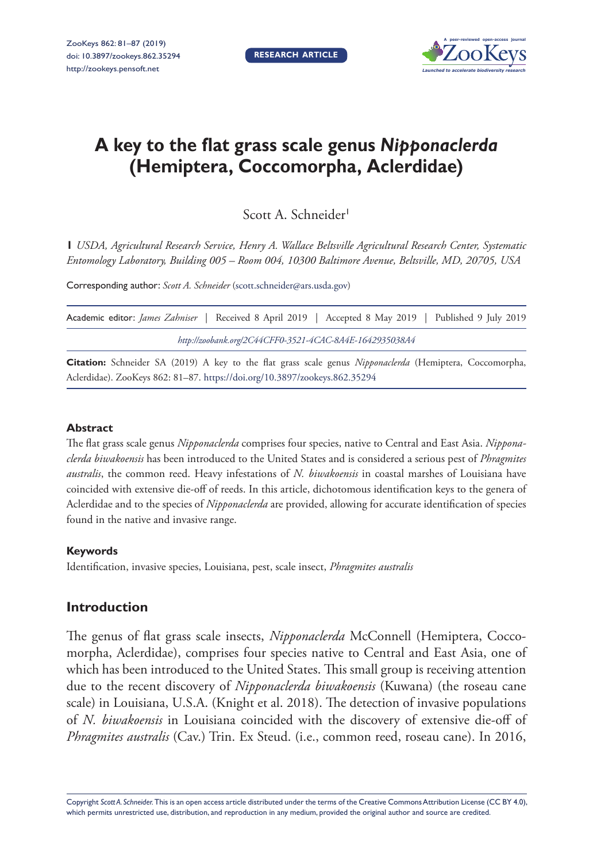

# **A key to the flat grass scale genus** *Nipponaclerda* **(Hemiptera, Coccomorpha, Aclerdidae)**

Scott A. Schneider<sup>1</sup>

**1** *USDA, Agricultural Research Service, Henry A. Wallace Beltsville Agricultural Research Center, Systematic Entomology Laboratory, Building 005 – Room 004, 10300 Baltimore Avenue, Beltsville, MD, 20705, USA* 

Corresponding author: *Scott A. Schneider* ([scott.schneider@ars.usda.gov](mailto:scott.schneider@ars.usda.gov))

| Academic editor: <i>James Zahniser</i>   Received 8 April 2019   Accepted 8 May 2019   Published 9 July 2019 |  |
|--------------------------------------------------------------------------------------------------------------|--|
| http://zoobank.org/2C44CFF0-3521-4CAC-8A4E-1642935038A4                                                      |  |

**Citation:** Schneider SA (2019) A key to the flat grass scale genus *Nipponaclerda* (Hemiptera, Coccomorpha, Aclerdidae). ZooKeys 862: 81–87. <https://doi.org/10.3897/zookeys.862.35294>

#### **Abstract**

The flat grass scale genus *Nipponaclerda* comprises four species, native to Central and East Asia. *Nipponaclerda biwakoensis* has been introduced to the United States and is considered a serious pest of *Phragmites australis*, the common reed. Heavy infestations of *N. biwakoensis* in coastal marshes of Louisiana have coincided with extensive die-off of reeds. In this article, dichotomous identification keys to the genera of Aclerdidae and to the species of *Nipponaclerda* are provided, allowing for accurate identification of species found in the native and invasive range.

#### **Keywords**

Identification, invasive species, Louisiana, pest, scale insect, *Phragmites australis*

# **Introduction**

The genus of flat grass scale insects, *Nipponaclerda* McConnell (Hemiptera, Coccomorpha, Aclerdidae), comprises four species native to Central and East Asia, one of which has been introduced to the United States. This small group is receiving attention due to the recent discovery of *Nipponaclerda biwakoensis* (Kuwana) (the roseau cane scale) in Louisiana, U.S.A. (Knight et al. 2018). The detection of invasive populations of *N. biwakoensis* in Louisiana coincided with the discovery of extensive die-off of *Phragmites australis* (Cav.) Trin. Ex Steud. (i.e., common reed, roseau cane). In 2016,

Copyright *Scott A. Schneider.* This is an open access article distributed under the terms of the [Creative Commons Attribution License \(CC BY 4.0\),](http://creativecommons.org/licenses/by/4.0/) which permits unrestricted use, distribution, and reproduction in any medium, provided the original author and source are credited.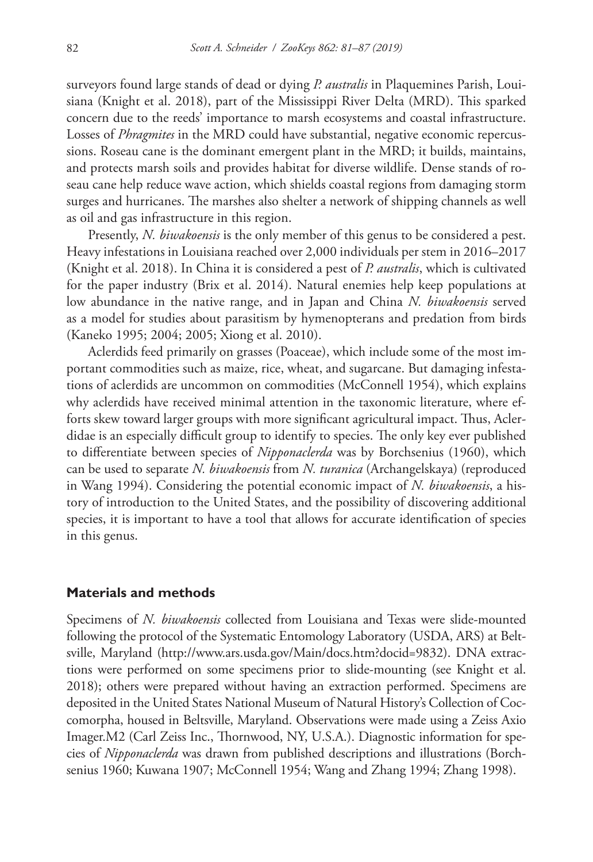surveyors found large stands of dead or dying *P. australis* in Plaquemines Parish, Louisiana (Knight et al. 2018), part of the Mississippi River Delta (MRD). This sparked concern due to the reeds' importance to marsh ecosystems and coastal infrastructure. Losses of *Phragmites* in the MRD could have substantial, negative economic repercussions. Roseau cane is the dominant emergent plant in the MRD; it builds, maintains, and protects marsh soils and provides habitat for diverse wildlife. Dense stands of roseau cane help reduce wave action, which shields coastal regions from damaging storm surges and hurricanes. The marshes also shelter a network of shipping channels as well as oil and gas infrastructure in this region.

Presently, *N. biwakoensis* is the only member of this genus to be considered a pest. Heavy infestations in Louisiana reached over 2,000 individuals per stem in 2016–2017 (Knight et al. 2018). In China it is considered a pest of *P. australis*, which is cultivated for the paper industry (Brix et al. 2014). Natural enemies help keep populations at low abundance in the native range, and in Japan and China *N. biwakoensis* served as a model for studies about parasitism by hymenopterans and predation from birds (Kaneko 1995; 2004; 2005; Xiong et al. 2010).

Aclerdids feed primarily on grasses (Poaceae), which include some of the most important commodities such as maize, rice, wheat, and sugarcane. But damaging infestations of aclerdids are uncommon on commodities (McConnell 1954), which explains why aclerdids have received minimal attention in the taxonomic literature, where efforts skew toward larger groups with more significant agricultural impact. Thus, Aclerdidae is an especially difficult group to identify to species. The only key ever published to differentiate between species of *Nipponaclerda* was by Borchsenius (1960), which can be used to separate *N. biwakoensis* from *N. turanica* (Archangelskaya) (reproduced in Wang 1994). Considering the potential economic impact of *N. biwakoensis*, a history of introduction to the United States, and the possibility of discovering additional species, it is important to have a tool that allows for accurate identification of species in this genus.

## **Materials and methods**

Specimens of *N. biwakoensis* collected from Louisiana and Texas were slide-mounted following the protocol of the Systematic Entomology Laboratory (USDA, ARS) at Beltsville, Maryland [\(http://www.ars.usda.gov/Main/docs.htm?docid=9832\)](http://www.ars.usda.gov/Main/docs.htm?docid=9832). DNA extractions were performed on some specimens prior to slide-mounting (see Knight et al. 2018); others were prepared without having an extraction performed. Specimens are deposited in the United States National Museum of Natural History's Collection of Coccomorpha, housed in Beltsville, Maryland. Observations were made using a Zeiss Axio Imager.M2 (Carl Zeiss Inc., Thornwood, NY, U.S.A.). Diagnostic information for species of *Nipponaclerda* was drawn from published descriptions and illustrations (Borchsenius 1960; Kuwana 1907; McConnell 1954; Wang and Zhang 1994; Zhang 1998).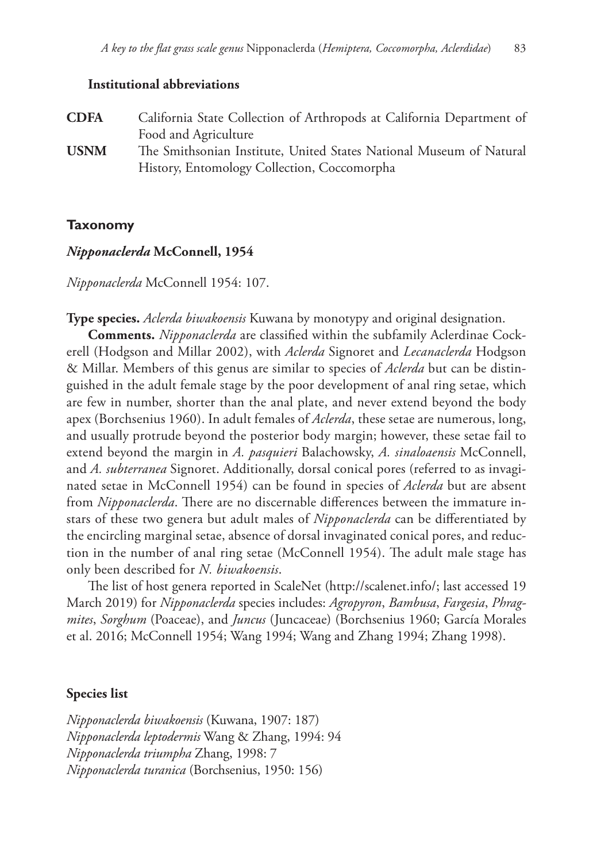#### **Institutional abbreviations**

| <b>CDFA</b> | California State Collection of Arthropods at California Department of |
|-------------|-----------------------------------------------------------------------|
|             | Food and Agriculture                                                  |
| <b>USNM</b> | The Smithsonian Institute, United States National Museum of Natural   |
|             | History, Entomology Collection, Coccomorpha                           |

### **Taxonomy**

#### *Nipponaclerda* **McConnell, 1954**

*Nipponaclerda* McConnell 1954: 107.

**Type species.** *Aclerda biwakoensis* Kuwana by monotypy and original designation.

**Comments.** *Nipponaclerda* are classified within the subfamily Aclerdinae Cockerell (Hodgson and Millar 2002), with *Aclerda* Signoret and *Lecanaclerda* Hodgson & Millar. Members of this genus are similar to species of *Aclerda* but can be distinguished in the adult female stage by the poor development of anal ring setae, which are few in number, shorter than the anal plate, and never extend beyond the body apex (Borchsenius 1960). In adult females of *Aclerda*, these setae are numerous, long, and usually protrude beyond the posterior body margin; however, these setae fail to extend beyond the margin in *A. pasquieri* Balachowsky, *A. sinaloaensis* McConnell, and *A. subterranea* Signoret. Additionally, dorsal conical pores (referred to as invaginated setae in McConnell 1954) can be found in species of *Aclerda* but are absent from *Nipponaclerda*. There are no discernable differences between the immature instars of these two genera but adult males of *Nipponaclerda* can be differentiated by the encircling marginal setae, absence of dorsal invaginated conical pores, and reduction in the number of anal ring setae (McConnell 1954). The adult male stage has only been described for *N. biwakoensis*.

The list of host genera reported in ScaleNet (<http://scalenet.info/>; last accessed 19 March 2019) for *Nipponaclerda* species includes: *Agropyron*, *Bambusa*, *Fargesia*, *Phragmites*, *Sorghum* (Poaceae), and *Juncus* (Juncaceae) (Borchsenius 1960; García Morales et al. 2016; McConnell 1954; Wang 1994; Wang and Zhang 1994; Zhang 1998).

#### **Species list**

*Nipponaclerda biwakoensis* (Kuwana, 1907: 187) *Nipponaclerda leptodermis* Wang & Zhang, 1994: 94 *Nipponaclerda triumpha* Zhang, 1998: 7 *Nipponaclerda turanica* (Borchsenius, 1950: 156)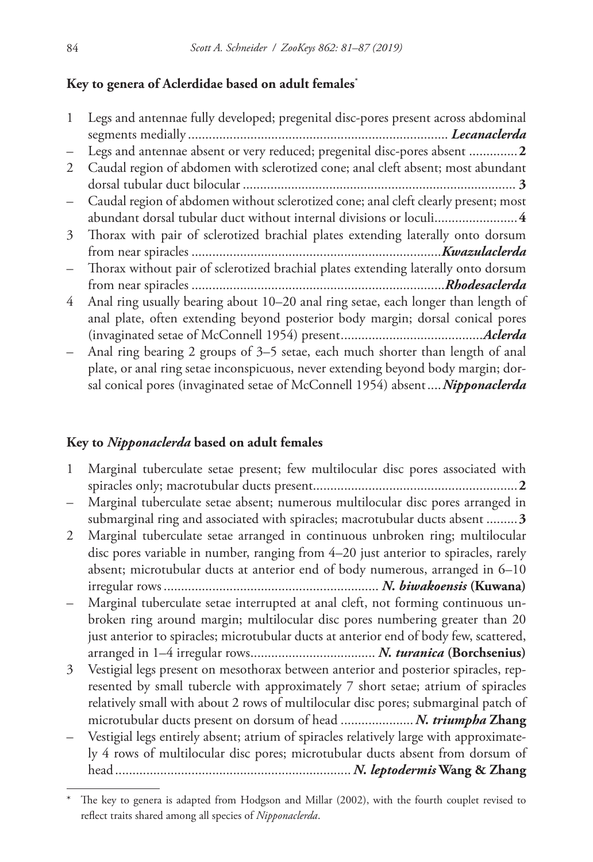# **Key to genera of Aclerdidae based on adult females\***

|   | Legs and antennae fully developed; pregenital disc-pores present across abdominal   |
|---|-------------------------------------------------------------------------------------|
|   |                                                                                     |
|   | Legs and antennae absent or very reduced; pregenital disc-pores absent 2            |
| 2 | Caudal region of abdomen with sclerotized cone; anal cleft absent; most abundant    |
|   |                                                                                     |
|   | Caudal region of abdomen without sclerotized cone; anal cleft clearly present; most |
|   | abundant dorsal tubular duct without internal divisions or loculi 4                 |
| 3 | Thorax with pair of sclerotized brachial plates extending laterally onto dorsum     |
|   |                                                                                     |
|   | Thorax without pair of sclerotized brachial plates extending laterally onto dorsum  |
|   |                                                                                     |
| 4 | Anal ring usually bearing about 10–20 anal ring setae, each longer than length of   |
|   | anal plate, often extending beyond posterior body margin; dorsal conical pores      |
|   |                                                                                     |
|   | Anal ring bearing 2 groups of 3–5 setae, each much shorter than length of anal      |
|   | plate, or anal ring setae inconspicuous, never extending beyond body margin; dor-   |
|   | sal conical pores (invaginated setae of McConnell 1954) absent Nipponaclerda        |

## **Key to** *Nipponaclerda* **based on adult females**

- 1 Marginal tuberculate setae present; few multilocular disc pores associated with spiracles only; macrotubular ducts present...........................................................**2**
- Marginal tuberculate setae absent; numerous multilocular disc pores arranged in submarginal ring and associated with spiracles; macrotubular ducts absent .........**3**
- 2 Marginal tuberculate setae arranged in continuous unbroken ring; multilocular disc pores variable in number, ranging from 4–20 just anterior to spiracles, rarely absent; microtubular ducts at anterior end of body numerous, arranged in 6–10 irregular rows.............................................................. *N. biwakoensis* **(Kuwana)**
- Marginal tuberculate setae interrupted at anal cleft, not forming continuous unbroken ring around margin; multilocular disc pores numbering greater than 20 just anterior to spiracles; microtubular ducts at anterior end of body few, scattered, arranged in 1–4 irregular rows.................................... *N. turanica* **(Borchsenius)**
- 3 Vestigial legs present on mesothorax between anterior and posterior spiracles, represented by small tubercle with approximately 7 short setae; atrium of spiracles relatively small with about 2 rows of multilocular disc pores; submarginal patch of microtubular ducts present on dorsum of head .....................*N. triumpha* **Zhang**
- Vestigial legs entirely absent; atrium of spiracles relatively large with approximately 4 rows of multilocular disc pores; microtubular ducts absent from dorsum of head.................................................................... *N. leptodermis* **Wang & Zhang**

The key to genera is adapted from Hodgson and Millar (2002), with the fourth couplet revised to reflect traits shared among all species of *Nipponaclerda*.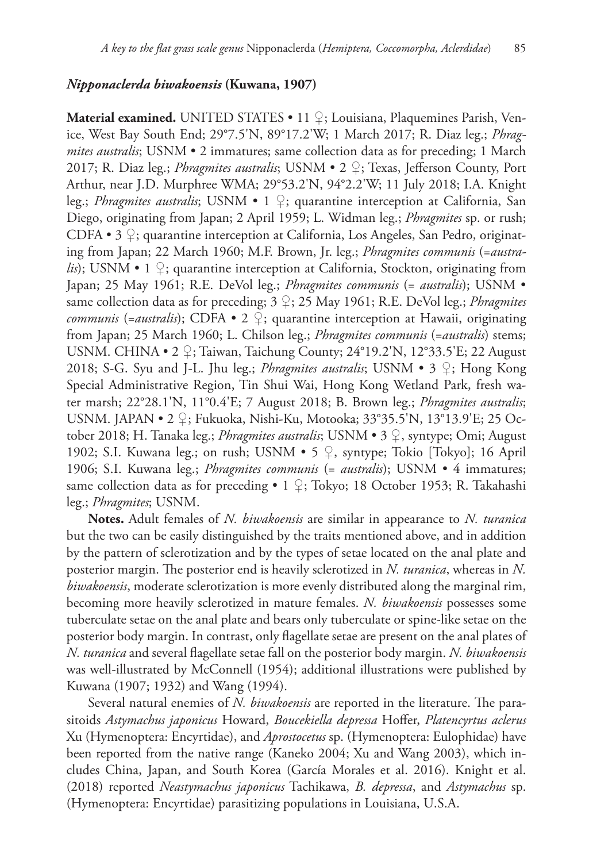### *Nipponaclerda biwakoensis* **(Kuwana, 1907)**

**Material examined.** UNITED STATES • 11 ♀; Louisiana, Plaquemines Parish, Venice, West Bay South End; 29°7.5'N, 89°17.2'W; 1 March 2017; R. Diaz leg.; *Phragmites australis*; USNM • 2 immatures; same collection data as for preceding; 1 March 2017; R. Diaz leg.; *Phragmites australis*; USNM • 2 ♀; Texas, Jefferson County, Port Arthur, near J.D. Murphree WMA; 29°53.2'N, 94°2.2'W; 11 July 2018; I.A. Knight leg.; *Phragmites australis*; USNM • 1 ♀; quarantine interception at California, San Diego, originating from Japan; 2 April 1959; L. Widman leg.; *Phragmites* sp. or rush; CDFA • 3 ♀; quarantine interception at California, Los Angeles, San Pedro, originating from Japan; 22 March 1960; M.F. Brown, Jr. leg.; *Phragmites communis* (=*australis*); USNM • 1  $\Omega$ ; quarantine interception at California, Stockton, originating from Japan; 25 May 1961; R.E. DeVol leg.; *Phragmites communis* (= *australis*); USNM • same collection data as for preceding; 3 ♀; 25 May 1961; R.E. DeVol leg.; *Phragmites communis* (=*australis*); CDFA • 2 ♀; quarantine interception at Hawaii, originating from Japan; 25 March 1960; L. Chilson leg.; *Phragmites communis* (=*australis*) stems; USNM. CHINA • 2 ♀; Taiwan, Taichung County; 24°19.2'N, 12°33.5'E; 22 August 2018; S-G. Syu and J-L. Jhu leg.; *Phragmites australis*; USNM • 3 ♀; Hong Kong Special Administrative Region, Tin Shui Wai, Hong Kong Wetland Park, fresh water marsh; 22°28.1'N, 11°0.4'E; 7 August 2018; B. Brown leg.; *Phragmites australis*; USNM. JAPAN • 2 ♀; Fukuoka, Nishi-Ku, Motooka; 33°35.5'N, 13°13.9'E; 25 October 2018; H. Tanaka leg.; *Phragmites australis*; USNM • 3 ♀, syntype; Omi; August 1902; S.I. Kuwana leg.; on rush; USNM • 5 ♀, syntype; Tokio [Tokyo]; 16 April 1906; S.I. Kuwana leg.; *Phragmites communis* (= *australis*); USNM • 4 immatures; same collection data as for preceding • 1  $\frac{1}{2}$ ; Tokyo; 18 October 1953; R. Takahashi leg.; *Phragmites*; USNM.

**Notes.** Adult females of *N. biwakoensis* are similar in appearance to *N. turanica* but the two can be easily distinguished by the traits mentioned above, and in addition by the pattern of sclerotization and by the types of setae located on the anal plate and posterior margin. The posterior end is heavily sclerotized in *N. turanica*, whereas in *N. biwakoensis*, moderate sclerotization is more evenly distributed along the marginal rim, becoming more heavily sclerotized in mature females. *N. biwakoensis* possesses some tuberculate setae on the anal plate and bears only tuberculate or spine-like setae on the posterior body margin. In contrast, only flagellate setae are present on the anal plates of *N. turanica* and several flagellate setae fall on the posterior body margin. *N. biwakoensis* was well-illustrated by McConnell (1954); additional illustrations were published by Kuwana (1907; 1932) and Wang (1994).

Several natural enemies of *N. biwakoensis* are reported in the literature. The parasitoids *Astymachus japonicus* Howard, *Boucekiella depressa* Hoffer, *Platencyrtus aclerus* Xu (Hymenoptera: Encyrtidae), and *Aprostocetus* sp. (Hymenoptera: Eulophidae) have been reported from the native range (Kaneko 2004; Xu and Wang 2003), which includes China, Japan, and South Korea (García Morales et al. 2016). Knight et al. (2018) reported *Neastymachus japonicus* Tachikawa, *B. depressa*, and *Astymachus* sp. (Hymenoptera: Encyrtidae) parasitizing populations in Louisiana, U.S.A.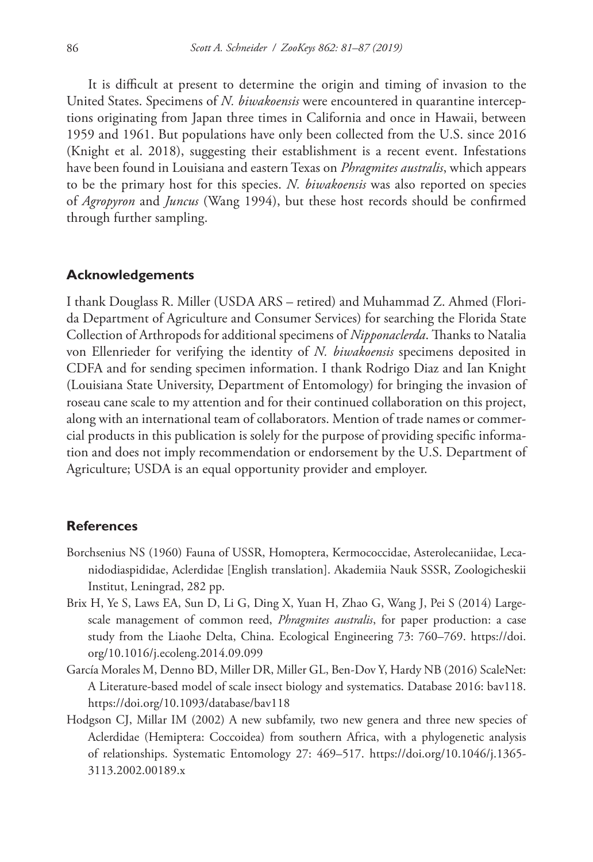It is difficult at present to determine the origin and timing of invasion to the United States. Specimens of *N. biwakoensis* were encountered in quarantine interceptions originating from Japan three times in California and once in Hawaii, between 1959 and 1961. But populations have only been collected from the U.S. since 2016 (Knight et al. 2018), suggesting their establishment is a recent event. Infestations have been found in Louisiana and eastern Texas on *Phragmites australis*, which appears to be the primary host for this species. *N. biwakoensis* was also reported on species of *Agropyron* and *Juncus* (Wang 1994), but these host records should be confirmed through further sampling.

#### **Acknowledgements**

I thank Douglass R. Miller (USDA ARS – retired) and Muhammad Z. Ahmed (Florida Department of Agriculture and Consumer Services) for searching the Florida State Collection of Arthropods for additional specimens of *Nipponaclerda*. Thanks to Natalia von Ellenrieder for verifying the identity of *N. biwakoensis* specimens deposited in CDFA and for sending specimen information. I thank Rodrigo Diaz and Ian Knight (Louisiana State University, Department of Entomology) for bringing the invasion of roseau cane scale to my attention and for their continued collaboration on this project, along with an international team of collaborators. Mention of trade names or commercial products in this publication is solely for the purpose of providing specific information and does not imply recommendation or endorsement by the U.S. Department of Agriculture; USDA is an equal opportunity provider and employer.

#### **References**

- Borchsenius NS (1960) Fauna of USSR, Homoptera, Kermococcidae, Asterolecaniidae, Lecanidodiaspididae, Aclerdidae [English translation]. Akademiia Nauk SSSR, Zoologicheskii Institut, Leningrad, 282 pp.
- Brix H, Ye S, Laws EA, Sun D, Li G, Ding X, Yuan H, Zhao G, Wang J, Pei S (2014) Largescale management of common reed, *Phragmites australis*, for paper production: a case study from the Liaohe Delta, China. Ecological Engineering 73: 760–769. [https://doi.](https://doi.org/10.1016/j.ecoleng.2014.09.099) [org/10.1016/j.ecoleng.2014.09.099](https://doi.org/10.1016/j.ecoleng.2014.09.099)
- García Morales M, Denno BD, Miller DR, Miller GL, Ben-Dov Y, Hardy NB (2016) ScaleNet: A Literature-based model of scale insect biology and systematics. Database 2016: bav118. <https://doi.org/10.1093/database/bav118>
- Hodgson CJ, Millar IM (2002) A new subfamily, two new genera and three new species of Aclerdidae (Hemiptera: Coccoidea) from southern Africa, with a phylogenetic analysis of relationships. Systematic Entomology 27: 469–517. [https://doi.org/10.1046/j.1365-](https://doi.org/10.1046/j.1365-3113.2002.00189.x) [3113.2002.00189.x](https://doi.org/10.1046/j.1365-3113.2002.00189.x)